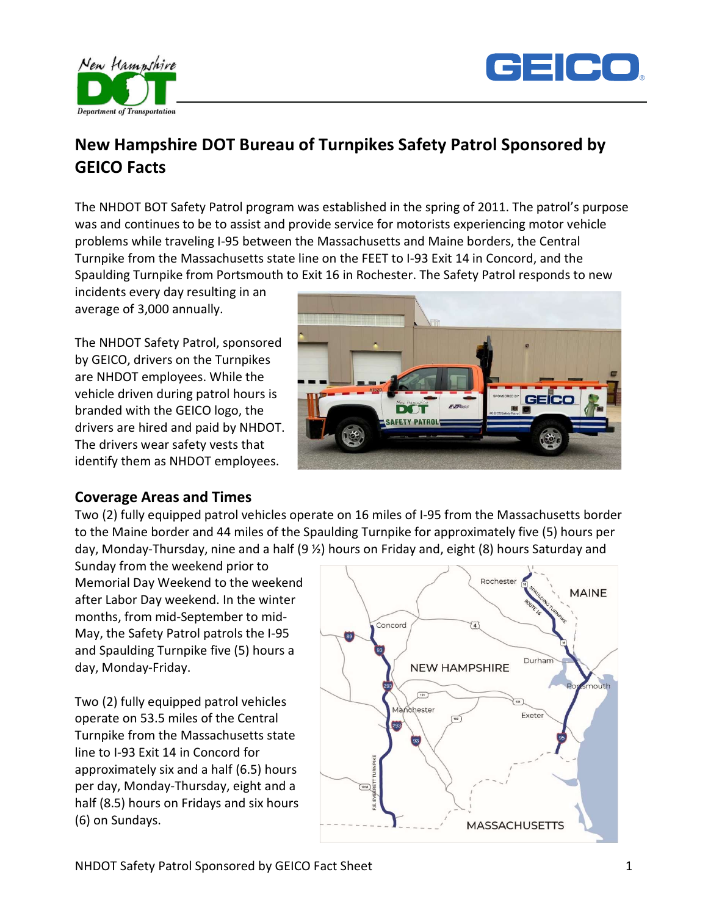



# GEICO Facts

The NHDOT BOT Safety Patrol program was established in the spring of 2011. The patrol's purpose was and continues to be to assist and provide service for motorists experiencing motor vehicle problems while traveling I-95 between the Massachusetts and Maine borders, the Central Turnpike from the Massachusetts state line on the FEET to I-93 Exit 14 in Concord, and the Spaulding Turnpike from Portsmouth to Exit 16 in Rochester. The Safety Patrol responds to new

incidents every day resulting in an average of 3,000 annually.

New Hampshire

The NHDOT Safety Patrol, sponsored by GEICO, drivers on the Turnpikes are NHDOT employees. While the vehicle driven during patrol hours is branded with the GEICO logo, the drivers are hired and paid by NHDOT. The drivers wear safety vests that identify them as NHDOT employees.



#### Coverage Areas and Times

Two (2) fully equipped patrol vehicles operate on 16 miles of I-95 from the Massachusetts border to the Maine border and 44 miles of the Spaulding Turnpike for approximately five (5) hours per day, Monday-Thursday, nine and a half (9 ½) hours on Friday and, eight (8) hours Saturday and

Sunday from the weekend prior to Memorial Day Weekend to the weekend after Labor Day weekend. In the winter months, from mid-September to mid-May, the Safety Patrol patrols the I-95 and Spaulding Turnpike five (5) hours a day, Monday-Friday.

Two (2) fully equipped patrol vehicles operate on 53.5 miles of the Central Turnpike from the Massachusetts state line to I-93 Exit 14 in Concord for approximately six and a half (6.5) hours per day, Monday-Thursday, eight and a half (8.5) hours on Fridays and six hours (6) on Sundays.

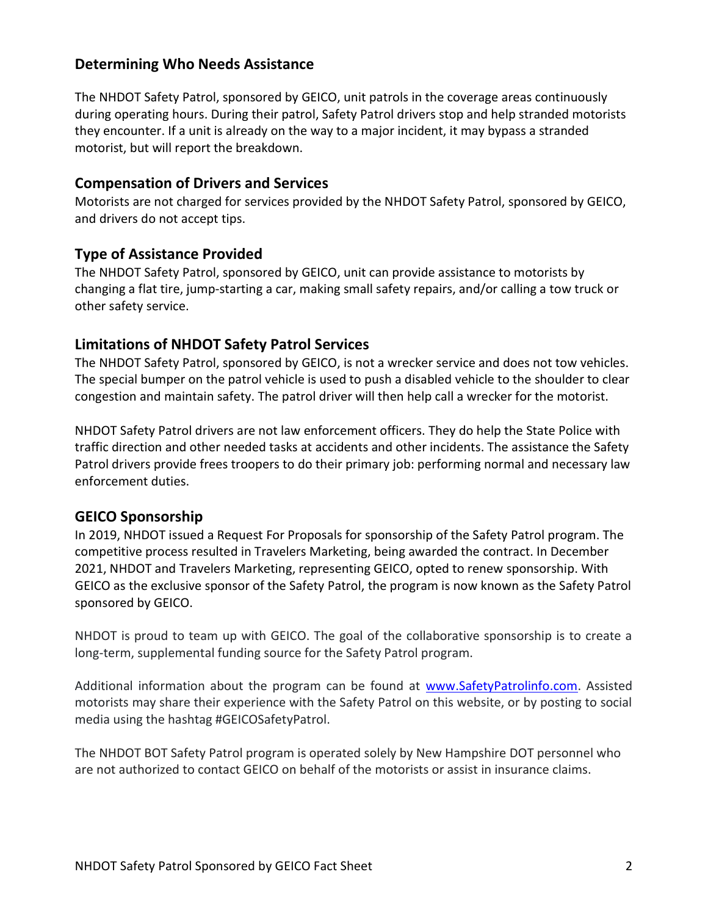### Determining Who Needs Assistance

The NHDOT Safety Patrol, sponsored by GEICO, unit patrols in the coverage areas continuously during operating hours. During their patrol, Safety Patrol drivers stop and help stranded motorists they encounter. If a unit is already on the way to a major incident, it may bypass a stranded motorist, but will report the breakdown.

#### Compensation of Drivers and Services

Motorists are not charged for services provided by the NHDOT Safety Patrol, sponsored by GEICO, and drivers do not accept tips.

## Type of Assistance Provided

The NHDOT Safety Patrol, sponsored by GEICO, unit can provide assistance to motorists by changing a flat tire, jump-starting a car, making small safety repairs, and/or calling a tow truck or other safety service.

## Limitations of NHDOT Safety Patrol Services

The NHDOT Safety Patrol, sponsored by GEICO, is not a wrecker service and does not tow vehicles. The special bumper on the patrol vehicle is used to push a disabled vehicle to the shoulder to clear congestion and maintain safety. The patrol driver will then help call a wrecker for the motorist.

NHDOT Safety Patrol drivers are not law enforcement officers. They do help the State Police with traffic direction and other needed tasks at accidents and other incidents. The assistance the Safety Patrol drivers provide frees troopers to do their primary job: performing normal and necessary law enforcement duties.

# GEICO Sponsorship

In 2019, NHDOT issued a Request For Proposals for sponsorship of the Safety Patrol program. The competitive process resulted in Travelers Marketing, being awarded the contract. In December 2021, NHDOT and Travelers Marketing, representing GEICO, opted to renew sponsorship. With GEICO as the exclusive sponsor of the Safety Patrol, the program is now known as the Safety Patrol sponsored by GEICO.

NHDOT is proud to team up with GEICO. The goal of the collaborative sponsorship is to create a long-term, supplemental funding source for the Safety Patrol program.

Additional information about the program can be found at www.SafetyPatrolinfo.com. Assisted motorists may share their experience with the Safety Patrol on this website, or by posting to social media using the hashtag #GEICOSafetyPatrol.

The NHDOT BOT Safety Patrol program is operated solely by New Hampshire DOT personnel who are not authorized to contact GEICO on behalf of the motorists or assist in insurance claims.